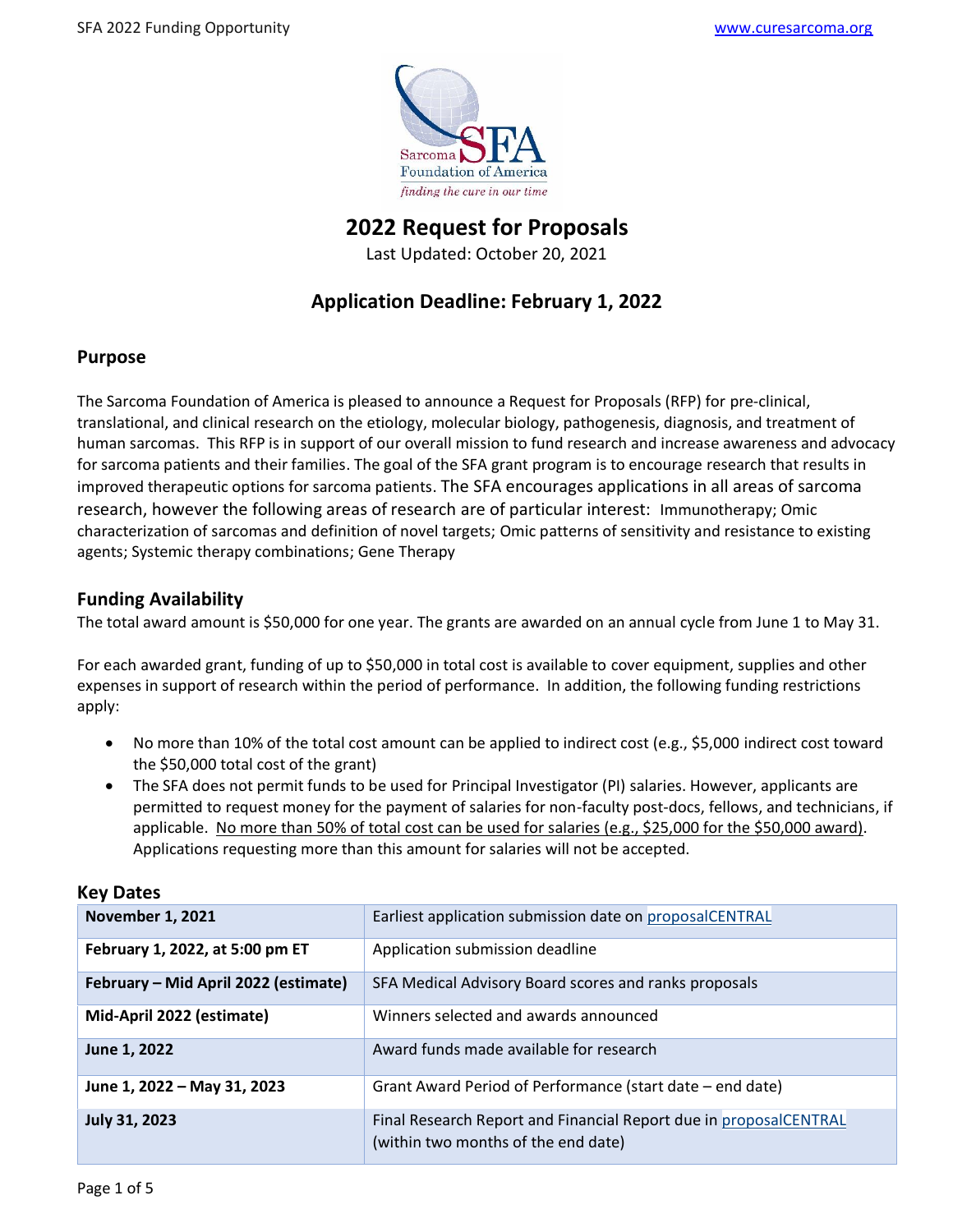

**2022 Request for Proposals**

Last Updated: October 20, 2021

# **Application Deadline: February 1, 2022**

# **Purpose**

The Sarcoma Foundation of America is pleased to announce a Request for Proposals (RFP) for pre-clinical, translational, and clinical research on the etiology, molecular biology, pathogenesis, diagnosis, and treatment of human sarcomas. This RFP is in support of our overall mission to fund research and increase awareness and advocacy for sarcoma patients and their families. The goal of the SFA grant program is to encourage research that results in improved therapeutic options for sarcoma patients. The SFA encourages applications in all areas of sarcoma research, however the following areas of research are of particular interest:Immunotherapy; Omic characterization of sarcomas and definition of novel targets; Omic patterns of sensitivity and resistance to existing agents; Systemic therapy combinations; Gene Therapy

# **Funding Availability**

The total award amount is \$50,000 for one year. The grants are awarded on an annual cycle from June 1 to May 31.

For each awarded grant, funding of up to \$50,000 in total cost is available to cover equipment, supplies and other expenses in support of research within the period of performance. In addition, the following funding restrictions apply:

- No more than 10% of the total cost amount can be applied to indirect cost (e.g., \$5,000 indirect cost toward the \$50,000 total cost of the grant)
- The SFA does not permit funds to be used for Principal Investigator (PI) salaries. However, applicants are permitted to request money for the payment of salaries for non-faculty post-docs, fellows, and technicians, if applicable. No more than 50% of total cost can be used for salaries (e.g., \$25,000 for the \$50,000 award). Applications requesting more than this amount for salaries will not be accepted.

| <b>November 1, 2021</b>              | Earliest application submission date on proposalCENTRAL                                                  |
|--------------------------------------|----------------------------------------------------------------------------------------------------------|
| February 1, 2022, at 5:00 pm ET      | Application submission deadline                                                                          |
| February - Mid April 2022 (estimate) | SFA Medical Advisory Board scores and ranks proposals                                                    |
| Mid-April 2022 (estimate)            | Winners selected and awards announced                                                                    |
| June 1, 2022                         | Award funds made available for research                                                                  |
| June 1, 2022 - May 31, 2023          | Grant Award Period of Performance (start date – end date)                                                |
| <b>July 31, 2023</b>                 | Final Research Report and Financial Report due in proposalCENTRAL<br>(within two months of the end date) |

## **Key Dates**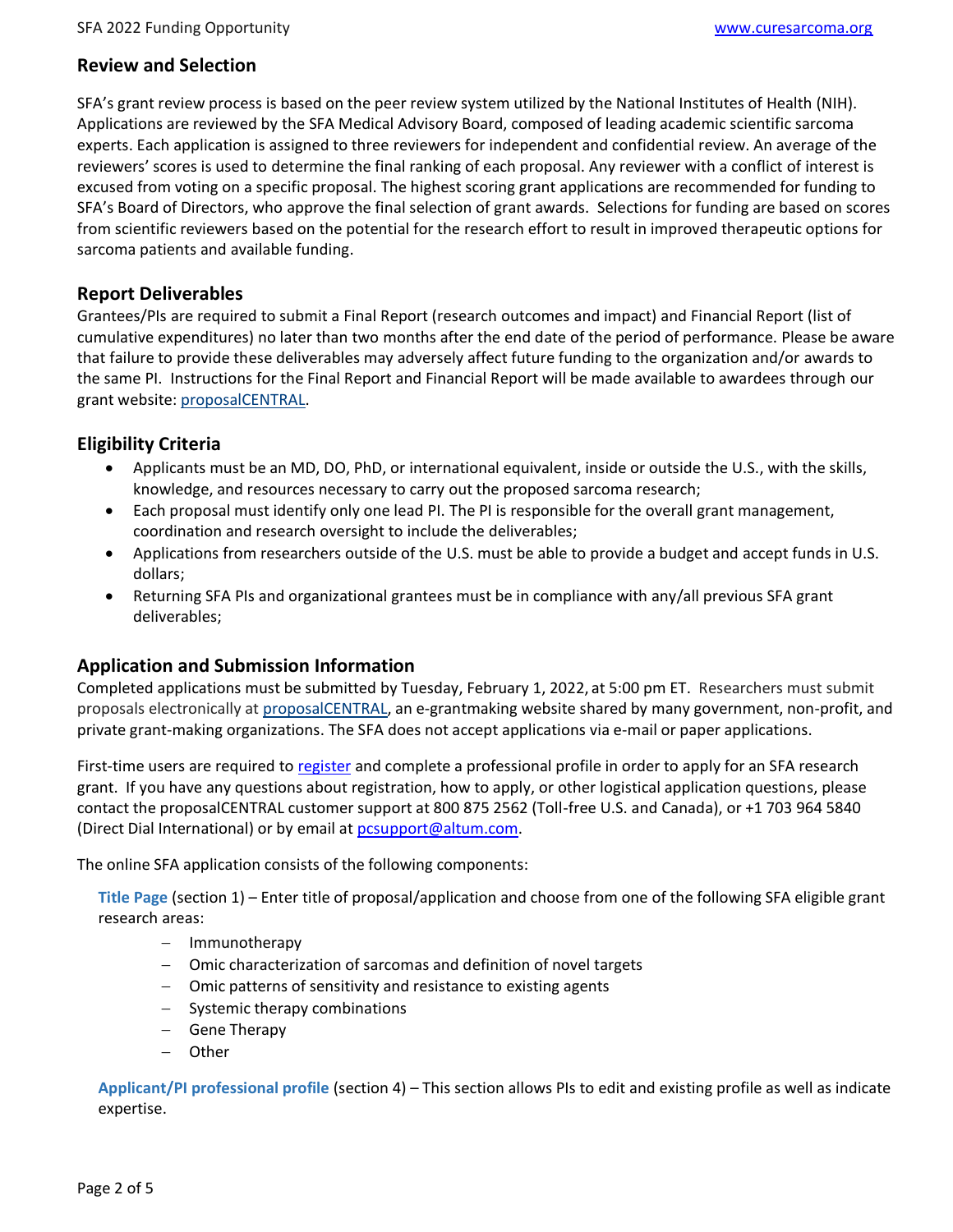### **Review and Selection**

SFA's grant review process is based on the peer review system utilized by the National Institutes of Health (NIH). Applications are reviewed by the SFA Medical Advisory Board, composed of leading academic scientific sarcoma experts. Each application is assigned to three reviewers for independent and confidential review. An average of the reviewers' scores is used to determine the final ranking of each proposal. Any reviewer with a conflict of interest is excused from voting on a specific proposal. The highest scoring grant applications are recommended for funding to SFA's Board of Directors, who approve the final selection of grant awards. Selections for funding are based on scores from scientific reviewers based on the potential for the research effort to result in improved therapeutic options for sarcoma patients and available funding.

## **Report Deliverables**

Grantees/PIs are required to submit a Final Report (research outcomes and impact) and Financial Report (list of cumulative expenditures) no later than two months after the end date of the period of performance. Please be aware that failure to provide these deliverables may adversely affect future funding to the organization and/or awards to the same PI. Instructions for the Final Report and Financial Report will be made available to awardees through our grant website: [proposalCENTRAL.](https://proposalcentral.altum.com/)

## **Eligibility Criteria**

- Applicants must be an MD, DO, PhD, or international equivalent, inside or outside the U.S., with the skills, knowledge, and resources necessary to carry out the proposed sarcoma research;
- Each proposal must identify only one lead PI. The PI is responsible for the overall grant management, coordination and research oversight to include the deliverables;
- Applications from researchers outside of the U.S. must be able to provide a budget and accept funds in U.S. dollars;
- Returning SFA PIs and organizational grantees must be in compliance with any/all previous SFA grant deliverables;

## **Application and Submission Information**

Completed applications must be submitted by Tuesday, February 1, 2022, at 5:00 pm ET. Researchers must submit proposals electronically at [proposalCENTRAL,](https://proposalcentral.altum.com/) an e-grantmaking website shared by many government, non-profit, and private grant-making organizations. The SFA does not accept applications via e-mail or paper applications.

First-time users are required to [register](https://proposalcentral.com/register.asp) and complete a professional profile in order to apply for an SFA research grant. If you have any questions about registration, how to apply, or other logistical application questions, please contact the proposalCENTRAL customer support at 800 875 2562 (Toll-free U.S. and Canada), or +1 703 964 5840 (Direct Dial International) or by email at [pcsupport@altum.com.](mailto:pcsupport@altum.com)

The online SFA application consists of the following components:

**Title Page** (section 1) – Enter title of proposal/application and choose from one of the following SFA eligible grant research areas:

- − Immunotherapy
- − Omic characterization of sarcomas and definition of novel targets
- − Omic patterns of sensitivity and resistance to existing agents
- Systemic therapy combinations
- − Gene Therapy
- − Other

**Applicant/PI professional profile** (section 4) – This section allows PIs to edit and existing profile as well as indicate expertise.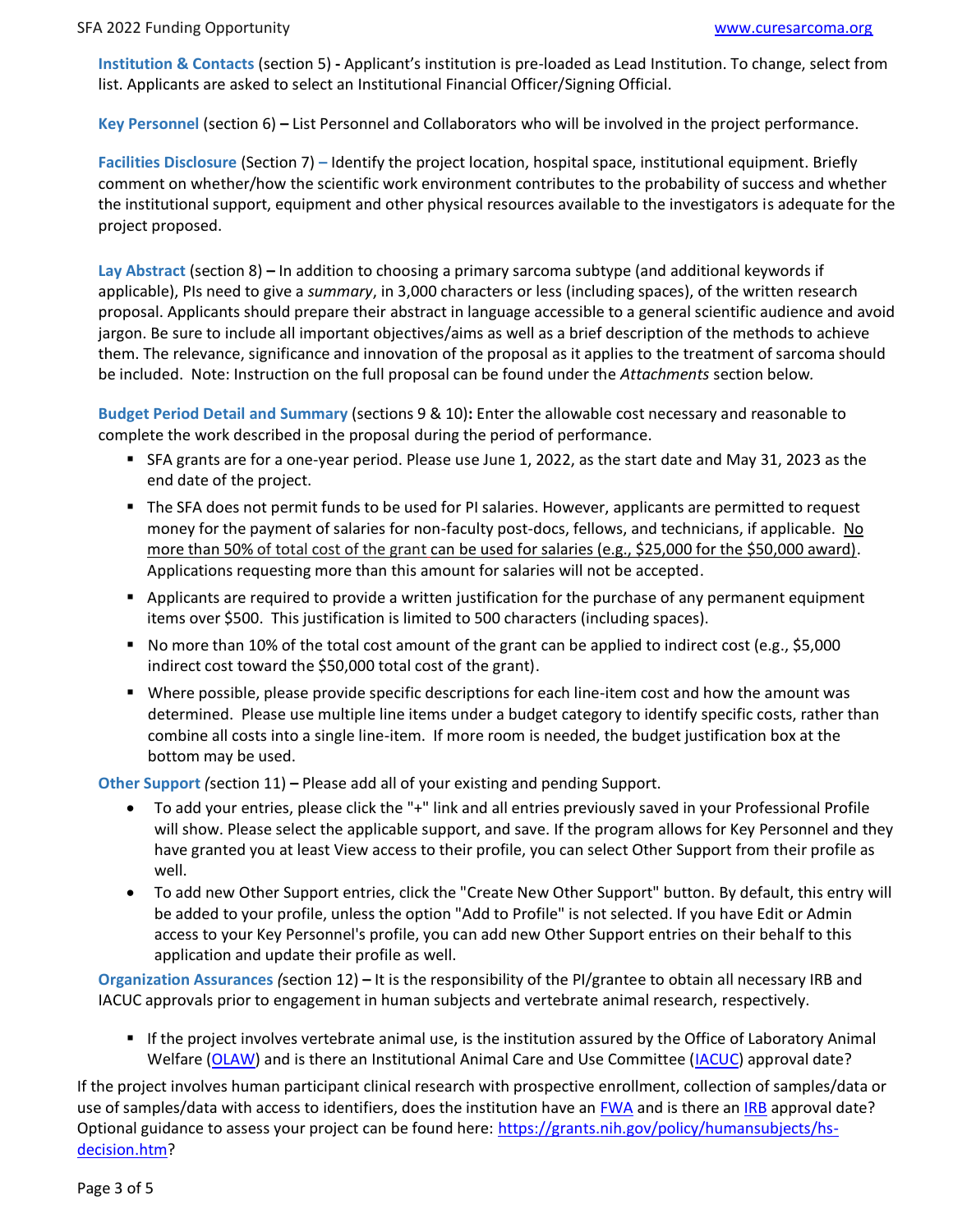**Institution & Contacts** (section 5) **-** Applicant's institution is pre-loaded as Lead Institution. To change, select from list. Applicants are asked to select an Institutional Financial Officer/Signing Official.

**Key Personnel** (section 6) **–** List Personnel and Collaborators who will be involved in the project performance.

**Facilities Disclosure** (Section 7) **–** Identify the project location, hospital space, institutional equipment. Briefly comment on whether/how the scientific work environment contributes to the probability of success and whether the institutional support, equipment and other physical resources available to the investigators is adequate for the project proposed.

**Lay Abstract** (section 8) **–** In addition to choosing a primary sarcoma subtype (and additional keywords if applicable), PIs need to give a *summary*, in 3,000 characters or less (including spaces), of the written research proposal. Applicants should prepare their abstract in language accessible to a general scientific audience and avoid jargon. Be sure to include all important objectives/aims as well as a brief description of the methods to achieve them. The relevance, significance and innovation of the proposal as it applies to the treatment of sarcoma should be included. Note: Instruction on the full proposal can be found under the *Attachments* section below*.*

**Budget Period Detail and Summary** (sections 9 & 10)**:** Enter the allowable cost necessary and reasonable to complete the work described in the proposal during the period of performance.

- SFA grants are for a one-year period. Please use June 1, 2022, as the start date and May 31, 2023 as the end date of the project.
- The SFA does not permit funds to be used for PI salaries. However, applicants are permitted to request money for the payment of salaries for non-faculty post-docs, fellows, and technicians, if applicable. No more than 50% of total cost of the grant can be used for salaries (e.g., \$25,000 for the \$50,000 award). Applications requesting more than this amount for salaries will not be accepted.
- Applicants are required to provide a written justification for the purchase of any permanent equipment items over \$500. This justification is limited to 500 characters (including spaces).
- No more than 10% of the total cost amount of the grant can be applied to indirect cost (e.g., \$5,000 indirect cost toward the \$50,000 total cost of the grant).
- Where possible, please provide specific descriptions for each line-item cost and how the amount was determined. Please use multiple line items under a budget category to identify specific costs, rather than combine all costs into a single line-item. If more room is needed, the budget justification box at the bottom may be used.

**Other Support** *(*section 11) **–** Please add all of your existing and pending Support.

- To add your entries, please click the "+" link and all entries previously saved in your Professional Profile will show. Please select the applicable support, and save. If the program allows for Key Personnel and they have granted you at least View access to their profile, you can select Other Support from their profile as well.
- To add new Other Support entries, click the "Create New Other Support" button. By default, this entry will be added to your profile, unless the option "Add to Profile" is not selected. If you have Edit or Admin access to your Key Personnel's profile, you can add new Other Support entries on their behalf to this application and update their profile as well.

**Organization Assurances** *(*section 12) **–** It is the responsibility of the PI/grantee to obtain all necessary IRB and IACUC approvals prior to engagement in human subjects and vertebrate animal research, respectively.

■ If the project involves vertebrate animal use, is the institution assured by the Office of Laboratory Animal Welfare [\(OLAW\)](https://olaw.nih.gov/) and is there an Institutional Animal Care and Use Committee [\(IACUC\)](https://olaw.nih.gov/resources/tutorial/iacuc.htm) approval date?

If the project involves human participant clinical research with prospective enrollment, collection of samples/data or use of samples/data with access to identifiers, does the institution have an [FWA](https://www.hhs.gov/ohrp/register-irbs-and-obtain-fwas/fwas/fwa-protection-of-human-subjecct/index.html) and is there an [IRB](https://www.hhs.gov/ohrp/education-and-outreach/about-research-participation/protecting-research-volunteers/index.html) approval date? Optional guidance to assess your project can be found here: [https://grants.nih.gov/policy/humansubjects/hs](https://grants.nih.gov/policy/humansubjects/hs-decision.htm)[decision.htm?](https://grants.nih.gov/policy/humansubjects/hs-decision.htm)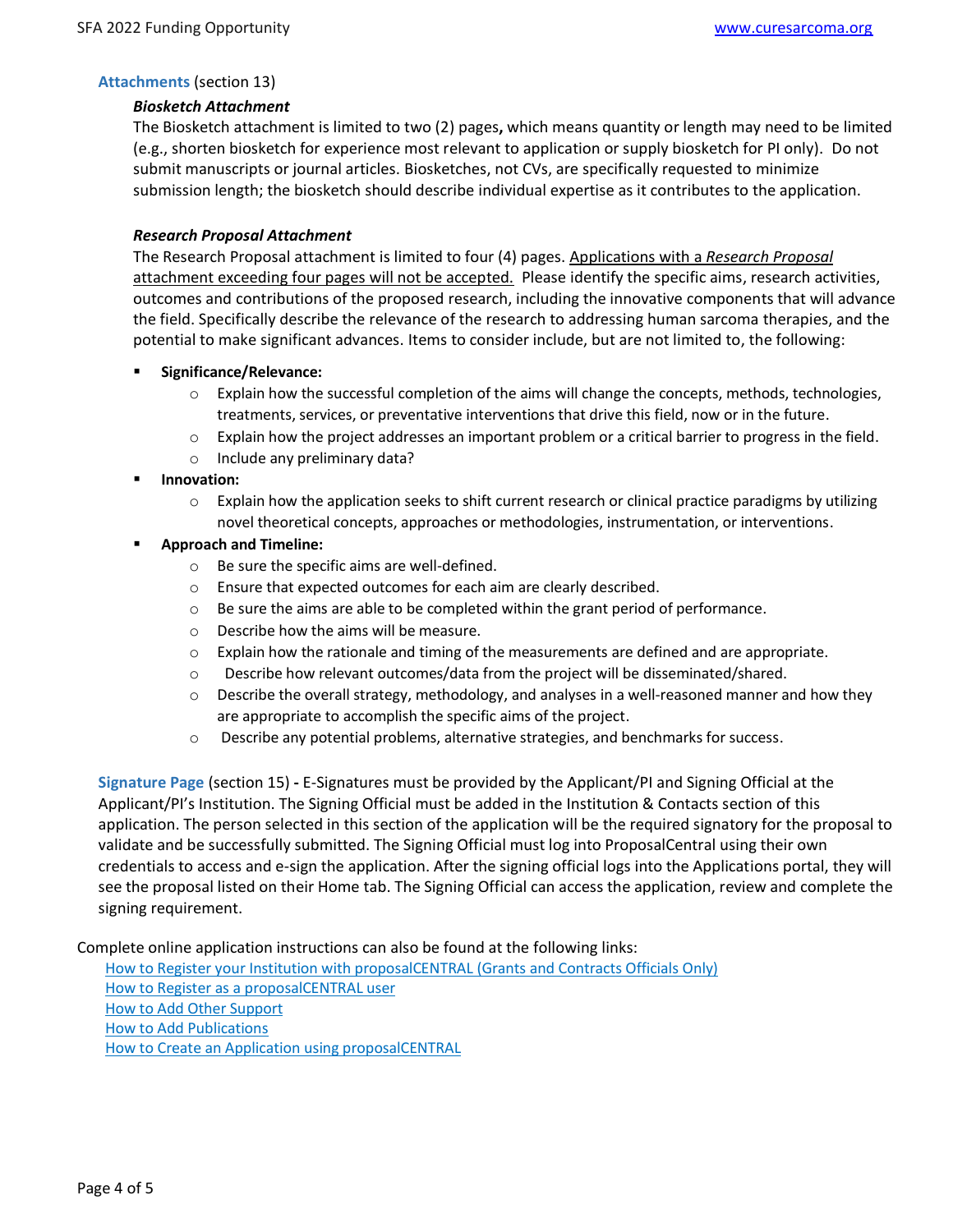### **Attachments** (section 13)

#### *Biosketch Attachment*

The Biosketch attachment is limited to two (2) pages**,** which means quantity or length may need to be limited (e.g., shorten biosketch for experience most relevant to application or supply biosketch for PI only). Do not submit manuscripts or journal articles. Biosketches, not CVs, are specifically requested to minimize submission length; the biosketch should describe individual expertise as it contributes to the application.

#### *Research Proposal Attachment*

The Research Proposal attachment is limited to four (4) pages. Applications with a *Research Proposal*  attachment exceeding four pages will not be accepted. Please identify the specific aims, research activities, outcomes and contributions of the proposed research, including the innovative components that will advance the field. Specifically describe the relevance of the research to addressing human sarcoma therapies, and the potential to make significant advances. Items to consider include, but are not limited to, the following:

- **Significance/Relevance:**
	- $\circ$  Explain how the successful completion of the aims will change the concepts, methods, technologies, treatments, services, or preventative interventions that drive this field, now or in the future.
	- $\circ$  Explain how the project addresses an important problem or a critical barrier to progress in the field.
	- o Include any preliminary data?
- **Innovation:**
	- $\circ$  Explain how the application seeks to shift current research or clinical practice paradigms by utilizing novel theoretical concepts, approaches or methodologies, instrumentation, or interventions.

#### ▪ **Approach and Timeline:**

- o Be sure the specific aims are well-defined.
- o Ensure that expected outcomes for each aim are clearly described.
- o Be sure the aims are able to be completed within the grant period of performance.
- o Describe how the aims will be measure.
- $\circ$  Explain how the rationale and timing of the measurements are defined and are appropriate.
- $\circ$  Describe how relevant outcomes/data from the project will be disseminated/shared.
- $\circ$  Describe the overall strategy, methodology, and analyses in a well-reasoned manner and how they are appropriate to accomplish the specific aims of the project.
- o Describe any potential problems, alternative strategies, and benchmarks for success.

**Signature Page** (section 15) **-** E-Signatures must be provided by the Applicant/PI and Signing Official at the Applicant/PI's Institution. The Signing Official must be added in the Institution & Contacts section of this application. The person selected in this section of the application will be the required signatory for the proposal to validate and be successfully submitted. The Signing Official must log into ProposalCentral using their own credentials to access and e-sign the application. After the signing official logs into the Applications portal, they will see the proposal listed on their Home tab. The Signing Official can access the application, review and complete the signing requirement.

Complete online application instructions can also be found at the following links:

[How to Register your Institution with proposalCENTRAL \(Grants and Contracts Officials Only\)](https://staging.proposalcentral.com/docs/RegInst.pdf) [How to Register as a proposalCENTRAL user](https://staging.proposalcentral.com/docs/RegUser.pdf) [How to Add Other Support](https://staging.proposalcentral.com/docs/HowToAddOtherSupport.pdf) [How to Add Publications](https://staging.proposalcentral.com/docs/HowToAddPublications.pdf) [How to Create an Application using proposalCENTRAL](https://staging.proposalcentral.com/docs/CreateApp.pdf)